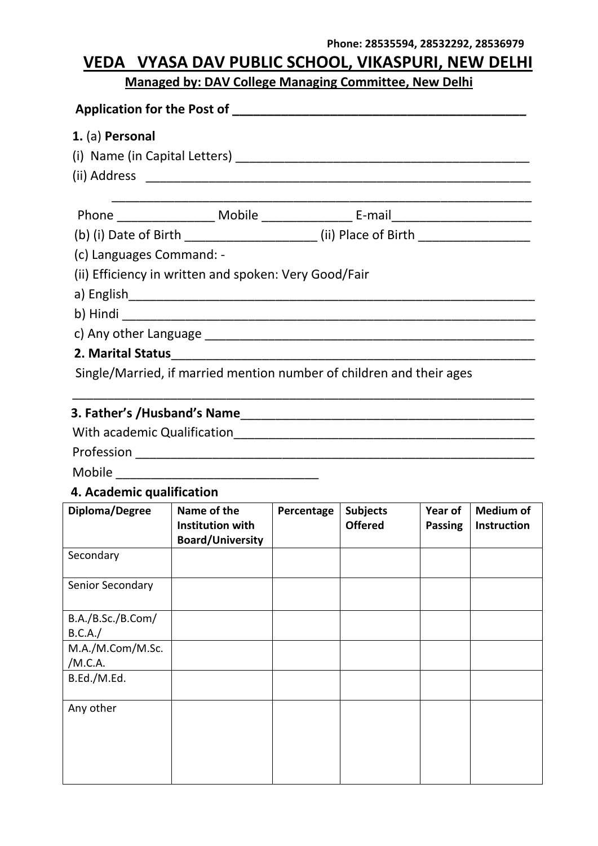#### **Phone: 28535594, 28532292, 28536979**

# **VEDA VYASA DAV PUBLIC SCHOOL, VIKASPURI, NEW DELHI**

# **Managed by: DAV College Managing Committee, New Delhi**

| 1. (a) Personal                                                                                                                                                                                                                                                                                                                                                                                                      |                                                                                                               |            |                 |                |                    |  |
|----------------------------------------------------------------------------------------------------------------------------------------------------------------------------------------------------------------------------------------------------------------------------------------------------------------------------------------------------------------------------------------------------------------------|---------------------------------------------------------------------------------------------------------------|------------|-----------------|----------------|--------------------|--|
|                                                                                                                                                                                                                                                                                                                                                                                                                      |                                                                                                               |            |                 |                |                    |  |
|                                                                                                                                                                                                                                                                                                                                                                                                                      |                                                                                                               |            |                 |                |                    |  |
|                                                                                                                                                                                                                                                                                                                                                                                                                      |                                                                                                               |            |                 |                |                    |  |
|                                                                                                                                                                                                                                                                                                                                                                                                                      |                                                                                                               |            |                 |                |                    |  |
|                                                                                                                                                                                                                                                                                                                                                                                                                      | (b) (i) Date of Birth ________________________(ii) Place of Birth _______________                             |            |                 |                |                    |  |
| (c) Languages Command: -                                                                                                                                                                                                                                                                                                                                                                                             |                                                                                                               |            |                 |                |                    |  |
|                                                                                                                                                                                                                                                                                                                                                                                                                      | (ii) Efficiency in written and spoken: Very Good/Fair                                                         |            |                 |                |                    |  |
|                                                                                                                                                                                                                                                                                                                                                                                                                      |                                                                                                               |            |                 |                |                    |  |
|                                                                                                                                                                                                                                                                                                                                                                                                                      |                                                                                                               |            |                 |                |                    |  |
|                                                                                                                                                                                                                                                                                                                                                                                                                      |                                                                                                               |            |                 |                |                    |  |
|                                                                                                                                                                                                                                                                                                                                                                                                                      | 2. Marital Status 2. 2020 12:00 12:00 12:00 12:00 12:00 12:00 12:00 12:00 12:00 12:00 12:00 12:00 12:00 12:00 |            |                 |                |                    |  |
|                                                                                                                                                                                                                                                                                                                                                                                                                      | Single/Married, if married mention number of children and their ages                                          |            |                 |                |                    |  |
|                                                                                                                                                                                                                                                                                                                                                                                                                      |                                                                                                               |            |                 |                |                    |  |
|                                                                                                                                                                                                                                                                                                                                                                                                                      |                                                                                                               |            |                 |                |                    |  |
|                                                                                                                                                                                                                                                                                                                                                                                                                      |                                                                                                               |            |                 |                |                    |  |
|                                                                                                                                                                                                                                                                                                                                                                                                                      |                                                                                                               |            |                 |                |                    |  |
|                                                                                                                                                                                                                                                                                                                                                                                                                      |                                                                                                               |            |                 |                |                    |  |
| 4. Academic qualification                                                                                                                                                                                                                                                                                                                                                                                            |                                                                                                               |            |                 |                |                    |  |
| Diploma/Degree                                                                                                                                                                                                                                                                                                                                                                                                       | Name of the                                                                                                   | Percentage | <b>Subjects</b> | Year of        | <b>Medium of</b>   |  |
|                                                                                                                                                                                                                                                                                                                                                                                                                      | <b>Institution with</b>                                                                                       |            | <b>Offered</b>  | <b>Passing</b> | <b>Instruction</b> |  |
|                                                                                                                                                                                                                                                                                                                                                                                                                      |                                                                                                               |            |                 |                |                    |  |
|                                                                                                                                                                                                                                                                                                                                                                                                                      | <b>Board/University</b>                                                                                       |            |                 |                |                    |  |
|                                                                                                                                                                                                                                                                                                                                                                                                                      |                                                                                                               |            |                 |                |                    |  |
|                                                                                                                                                                                                                                                                                                                                                                                                                      |                                                                                                               |            |                 |                |                    |  |
| Secondary<br>Senior Secondary<br>$R = \frac{1}{2}R + \frac{1}{2}R + \frac{1}{2}R + \frac{1}{2}R + \frac{1}{2}R + \frac{1}{2}R + \frac{1}{2}R + \frac{1}{2}R + \frac{1}{2}R + \frac{1}{2}R + \frac{1}{2}R + \frac{1}{2}R + \frac{1}{2}R + \frac{1}{2}R + \frac{1}{2}R + \frac{1}{2}R + \frac{1}{2}R + \frac{1}{2}R + \frac{1}{2}R + \frac{1}{2}R + \frac{1}{2}R + \frac{1}{2}R + \frac{1}{2}R + \frac{1}{2}R + \frac$ |                                                                                                               |            |                 |                |                    |  |

| B.A./B.Sc./B.Com/ |  |  |  |
|-------------------|--|--|--|
| B.C.A./           |  |  |  |
| M.A./M.Com/M.Sc.  |  |  |  |
| /M.C.A.           |  |  |  |
| B.Ed./M.Ed.       |  |  |  |
|                   |  |  |  |
| Any other         |  |  |  |
|                   |  |  |  |
|                   |  |  |  |
|                   |  |  |  |
|                   |  |  |  |
|                   |  |  |  |